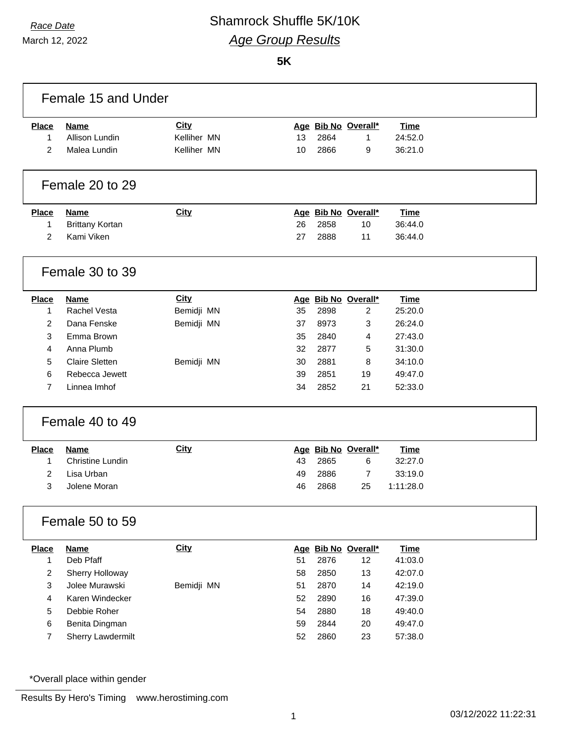## *Race Date* Shamrock Shuffle 5K/10K *Age Group Results*

March 12, 2022

#### **5K**

| Female 15 and Under     |                         |             |    |      |                     |             |  |  |
|-------------------------|-------------------------|-------------|----|------|---------------------|-------------|--|--|
| <b>Place</b>            | <b>Name</b>             | <b>City</b> |    |      | Age Bib No Overall* | <b>Time</b> |  |  |
| 1                       | Allison Lundin          | Kelliher MN | 13 | 2864 | 1                   | 24:52.0     |  |  |
| 2                       | Malea Lundin            | Kelliher MN | 10 | 2866 | 9                   | 36:21.0     |  |  |
|                         | Female 20 to 29         |             |    |      |                     |             |  |  |
| <b>Place</b>            | <b>Name</b>             | <b>City</b> |    |      | Age Bib No Overall* | <b>Time</b> |  |  |
| 1                       | <b>Brittany Kortan</b>  |             | 26 | 2858 | 10                  | 36:44.0     |  |  |
| 2                       | Kami Viken              |             | 27 | 2888 | 11                  | 36:44.0     |  |  |
|                         | Female 30 to 39         |             |    |      |                     |             |  |  |
| <b>Place</b>            | Name                    | <b>City</b> |    |      | Age Bib No Overall* | <b>Time</b> |  |  |
| 1                       | <b>Rachel Vesta</b>     | Bemidji MN  | 35 | 2898 | $\overline{2}$      | 25:20.0     |  |  |
| $\overline{2}$          | Dana Fenske             | Bemidji MN  | 37 | 8973 | 3                   | 26:24.0     |  |  |
| 3                       | Emma Brown              |             | 35 | 2840 | 4                   | 27:43.0     |  |  |
| 4                       | Anna Plumb              |             | 32 | 2877 | 5                   | 31:30.0     |  |  |
| 5                       | <b>Claire Sletten</b>   | Bemidji MN  | 30 | 2881 | 8                   | 34:10.0     |  |  |
| 6                       | Rebecca Jewett          |             | 39 | 2851 | 19                  | 49:47.0     |  |  |
| 7                       | Linnea Imhof            |             | 34 | 2852 | 21                  | 52:33.0     |  |  |
|                         | Female 40 to 49         |             |    |      |                     |             |  |  |
| <b>Place</b>            | <b>Name</b>             | <b>City</b> |    |      | Age Bib No Overall* | <b>Time</b> |  |  |
| 1                       | <b>Christine Lundin</b> |             | 43 | 2865 | 6                   | 32:27.0     |  |  |
| 2                       | Lisa Urban              |             | 49 | 2886 | $\overline{7}$      | 33:19.0     |  |  |
| 3                       | Jolene Moran            |             | 46 | 2868 | 25                  | 1:11:28.0   |  |  |
|                         | Female 50 to 59         |             |    |      |                     |             |  |  |
| Place                   | <b>Name</b>             | <b>City</b> |    |      | Age Bib No Overall* | <b>Time</b> |  |  |
| 1                       | Deb Pfaff               |             | 51 | 2876 | 12                  | 41:03.0     |  |  |
| $\overline{\mathbf{c}}$ | Sherry Holloway         |             | 58 | 2850 | 13                  | 42:07.0     |  |  |
| 3                       | Jolee Murawski          | Bemidji MN  | 51 | 2870 | 14                  | 42:19.0     |  |  |
| 4                       | Karen Windecker         |             | 52 | 2890 | 16                  | 47:39.0     |  |  |
| 5                       | Debbie Roher            |             | 54 | 2880 | 18                  | 49:40.0     |  |  |
| 6                       | Benita Dingman          |             | 59 | 2844 | 20                  | 49:47.0     |  |  |
| 7                       | Sherry Lawdermilt       |             | 52 | 2860 | 23                  | 57:38.0     |  |  |
|                         |                         |             |    |      |                     |             |  |  |

\*Overall place within gender

Results By Hero's Timing www.herostiming.com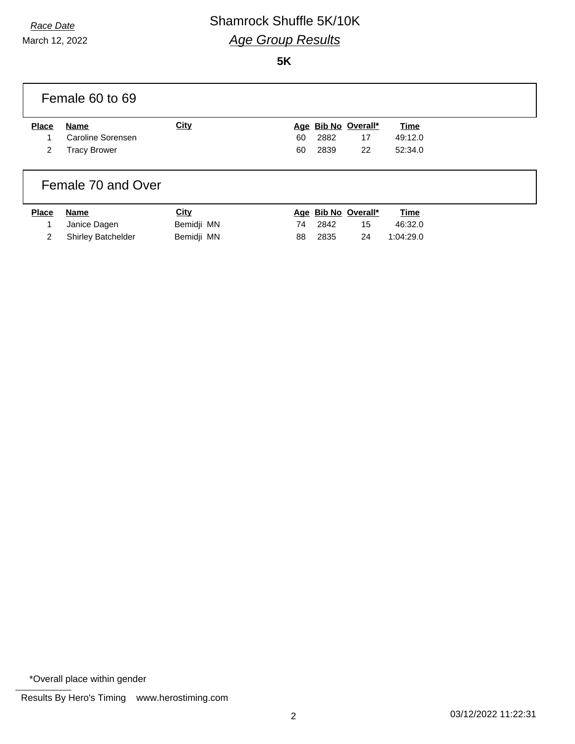# *Race Date* Shamrock Shuffle 5K/10K *Age Group Results*

March 12, 2022

**5K**

|                        | Female 60 to 69                                         |             |          |              |                                 |                                   |  |
|------------------------|---------------------------------------------------------|-------------|----------|--------------|---------------------------------|-----------------------------------|--|
| <b>Place</b><br>1<br>2 | <b>Name</b><br>Caroline Sorensen<br><b>Tracy Brower</b> | <b>City</b> | 60<br>60 | 2882<br>2839 | Age Bib No Overall*<br>17<br>22 | <b>Time</b><br>49:12.0<br>52:34.0 |  |
| ___                    | Female 70 and Over<br>.                                 | $\sim$      |          |              | <b><i><u>BRALL</u></i></b>      | --                                |  |

| <u>Place Name</u>    | <u>City</u> | Age Bib No Overall* | <u>Time</u> |
|----------------------|-------------|---------------------|-------------|
| 1 Janice Dagen       | Bemidji MN  | 74 2842<br>15       | 46:32.0     |
| 2 Shirley Batchelder | Bemidji MN  | 24<br>88 2835       | 1:04:29.0   |

\*Overall place within gender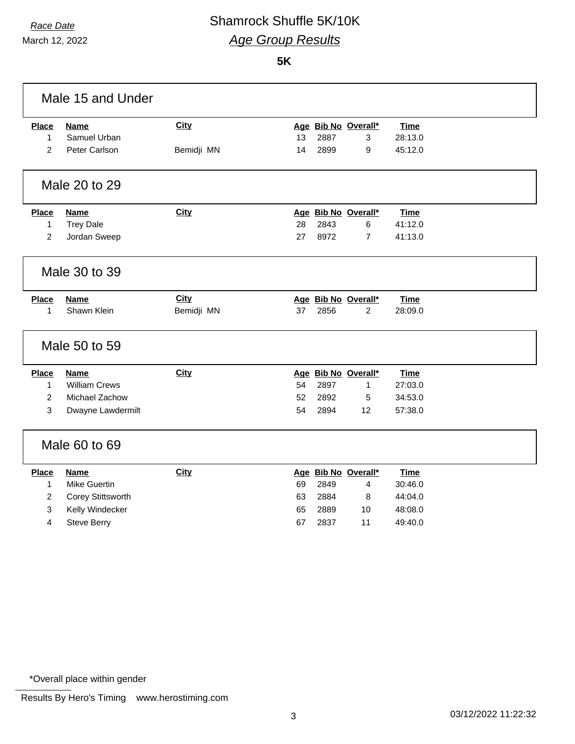March 12, 2022

### *Race Date* Shamrock Shuffle 5K/10K *Age Group Results*

**5K**

| Male 15 and Under |                      |             |    |      |                     |             |  |
|-------------------|----------------------|-------------|----|------|---------------------|-------------|--|
| <b>Place</b>      | <b>Name</b>          | <b>City</b> |    |      | Age Bib No Overall* | <b>Time</b> |  |
| $\mathbf{1}$      | Samuel Urban         |             | 13 | 2887 | 3                   | 28:13.0     |  |
| 2                 | Peter Carlson        | Bemidji MN  | 14 | 2899 | 9                   | 45:12.0     |  |
|                   | Male 20 to 29        |             |    |      |                     |             |  |
| <b>Place</b>      | <b>Name</b>          | City        |    |      | Age Bib No Overall* | <b>Time</b> |  |
| 1                 | <b>Trey Dale</b>     |             | 28 | 2843 | 6                   | 41:12.0     |  |
| $\overline{2}$    | Jordan Sweep         |             | 27 | 8972 | $\overline{7}$      | 41:13.0     |  |
|                   | Male 30 to 39        |             |    |      |                     |             |  |
| <b>Place</b>      | <b>Name</b>          | <b>City</b> |    |      | Age Bib No Overall* | <b>Time</b> |  |
| 1                 | Shawn Klein          | Bemidji MN  | 37 | 2856 | 2                   | 28:09.0     |  |
|                   | Male 50 to 59        |             |    |      |                     |             |  |
| <b>Place</b>      | <b>Name</b>          | <b>City</b> |    |      | Age Bib No Overall* | <b>Time</b> |  |
| $\mathbf{1}$      | <b>William Crews</b> |             | 54 | 2897 | 1                   | 27:03.0     |  |
| $\overline{2}$    | Michael Zachow       |             | 52 | 2892 | 5                   | 34:53.0     |  |
| 3                 | Dwayne Lawdermilt    |             | 54 | 2894 | 12                  | 57:38.0     |  |
|                   | Male 60 to 69        |             |    |      |                     |             |  |
| <b>Place</b>      | <b>Name</b>          | <b>City</b> |    |      | Age Bib No Overall* | <b>Time</b> |  |
| $\mathbf{1}$      | <b>Mike Guertin</b>  |             | 69 | 2849 | 4                   | 30:46.0     |  |
| $\overline{c}$    | Corey Stittsworth    |             | 63 | 2884 | 8                   | 44:04.0     |  |
| 3                 | Kelly Windecker      |             | 65 | 2889 | 10                  | 48:08.0     |  |
| 4                 | <b>Steve Berry</b>   |             | 67 | 2837 | 11                  | 49:40.0     |  |

\*Overall place within gender

Results By Hero's Timing www.herostiming.com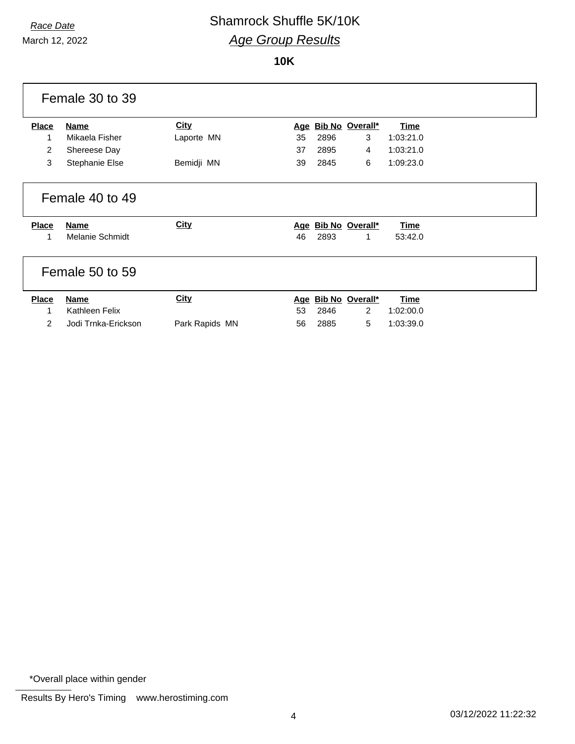March 12, 2022

### *Race Date* Shamrock Shuffle 5K/10K *Age Group Results*

#### **10K**

|                | Female 30 to 39        |             |    |      |                     |             |  |
|----------------|------------------------|-------------|----|------|---------------------|-------------|--|
| <b>Place</b>   | <b>Name</b>            | <b>City</b> |    |      | Age Bib No Overall* | Time        |  |
| 1              | Mikaela Fisher         | Laporte MN  | 35 | 2896 | 3                   | 1:03:21.0   |  |
| $\overline{2}$ | Shereese Day           |             | 37 | 2895 | 4                   | 1:03:21.0   |  |
| 3              | Stephanie Else         | Bemidji MN  | 39 | 2845 | 6                   | 1:09:23.0   |  |
|                | Female 40 to 49        |             |    |      |                     |             |  |
| <b>Place</b>   | <b>Name</b>            | City        |    |      | Age Bib No Overall* | <b>Time</b> |  |
|                |                        |             |    |      |                     |             |  |
| 1              | <b>Melanie Schmidt</b> |             | 46 | 2893 | 1                   | 53:42.0     |  |
|                | Female 50 to 59        |             |    |      |                     |             |  |
| <b>Place</b>   | <b>Name</b>            | <b>City</b> |    |      | Age Bib No Overall* | <b>Time</b> |  |
|                | Kathleen Felix         |             | 53 | 2846 | $\overline{2}$      | 1:02:00.0   |  |

\*Overall place within gender